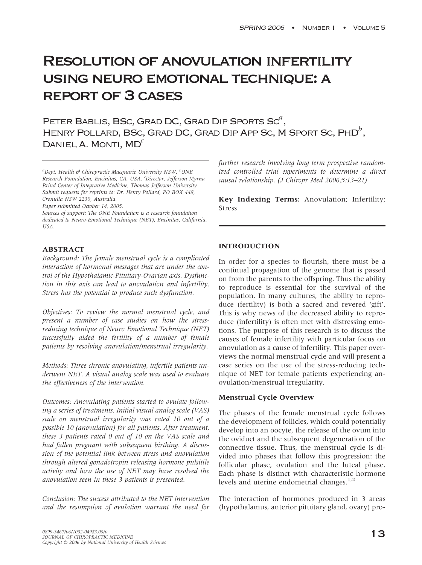# Resolution of anovulation infertility using neuro emotional technique: a report of 3 cases

Peter Bablis, BSc, Grad DC, Grad Dip Sports Sc*a* , Henry Pollard, BSc, Grad DC, Grad Dip App Sc,M Sport Sc, PhD*b* , DANIEL A. MONTI, MD<sup>c</sup>

*a Dept. Health & Chiropractic Macquarie University NSW. <sup>b</sup> ONE Research Foundation, Encinitas, CA, USA. <sup>c</sup> Director, Jefferson-Myrna Brind Center of Integrative Medicine, Thomas Jefferson University Submit requests for reprints to: Dr. Henry Pollard, PO BOX 448, Cronulla NSW 2230, Australia. Paper submitted October 14, 2005.*

*Sources of support: The ONE Foundation is a research foundation dedicated to Neuro-Emotional Technique (NET), Encinitas, California, USA.*

## **ABSTRACT**

*Background: The female menstrual cycle is a complicated interaction of hormonal messages that are under the control of the Hypothalamic-Pituitary-Ovarian axis. Dysfunction in this axis can lead to anovulation and infertility. Stress has the potential to produce such dysfunction.*

*Objectives: To review the normal menstrual cycle, and present a number of case studies on how the stressreducing technique of Neuro Emotional Technique (NET) successfully aided the fertility of a number of female patients by resolving anovulation/menstrual irregularity.*

*Methods: Three chronic anovulating, infertile patients underwent NET. A visual analog scale was used to evaluate the effectiveness of the intervention.*

*Outcomes: Anovulating patients started to ovulate following a series of treatments. Initial visual analog scale (VAS) scale on menstrual irregularity was rated 10 out of a possible 10 (anovulation) for all patients. After treatment, these 3 patients rated 0 out of 10 on the VAS scale and had fallen pregnant with subsequent birthing. A discussion of the potential link between stress and anovulation through altered gonadotropin releasing hormone pulsitile activity and how the use of NET may have resolved the anovulation seen in these 3 patients is presented.*

*Conclusion: The success attributed to the NET intervention and the resumption of ovulation warrant the need for* *further research involving long term prospective randomized controlled trial experiments to determine a direct causal relationship. (J Chiropr Med 2006;5:13–21)*

**Key Indexing Terms:** Anovulation; Infertility; Stress

# **INTRODUCTION**

In order for a species to flourish, there must be a continual propagation of the genome that is passed on from the parents to the offspring. Thus the ability to reproduce is essential for the survival of the population. In many cultures, the ability to reproduce (fertility) is both a sacred and revered 'gift'. This is why news of the decreased ability to reproduce (infertility) is often met with distressing emotions. The purpose of this research is to discuss the causes of female infertility with particular focus on anovulation as a cause of infertility. This paper overviews the normal menstrual cycle and will present a case series on the use of the stress-reducing technique of NET for female patients experiencing anovulation/menstrual irregularity.

## **Menstrual Cycle Overview**

The phases of the female menstrual cycle follows the development of follicles, which could potentially develop into an oocyte, the release of the ovum into the oviduct and the subsequent degeneration of the connective tissue. Thus, the menstrual cycle is divided into phases that follow this progression: the follicular phase, ovulation and the luteal phase. Each phase is distinct with characteristic hormone levels and uterine endometrial changes.<sup>1,2</sup>

The interaction of hormones produced in 3 areas (hypothalamus, anterior pituitary gland, ovary) pro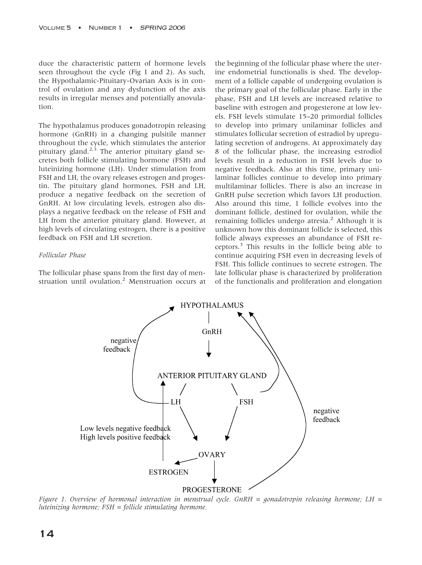duce the characteristic pattern of hormone levels seen throughout the cycle (Fig 1 and 2). As such, the Hypothalamic-Pituitary-Ovarian Axis is in control of ovulation and any dysfunction of the axis results in irregular menses and potentially anovulation.

The hypothalamus produces gonadotropin releasing hormone (GnRH) in a changing pulsitile manner throughout the cycle, which stimulates the anterior pituitary gland. $2,3$  The anterior pituitary gland secretes both follicle stimulating hormone (FSH) and luteinizing hormone (LH). Under stimulation from FSH and LH, the ovary releases estrogen and progestin. The pituitary gland hormones, FSH and LH, produce a negative feedback on the secretion of GnRH. At low circulating levels, estrogen also displays a negative feedback on the release of FSH and LH from the anterior pituitary gland. However, at high levels of circulating estrogen, there is a positive feedback on FSH and LH secretion.

## *Follicular Phase*

The follicular phase spans from the first day of menstruation until ovulation.<sup>2</sup> Menstruation occurs at the beginning of the follicular phase where the uterine endometrial functionalis is shed. The development of a follicle capable of undergoing ovulation is the primary goal of the follicular phase. Early in the phase, FSH and LH levels are increased relative to baseline with estrogen and progesterone at low levels. FSH levels stimulate 15–20 primordial follicles to develop into primary unilaminar follicles and stimulates follicular secretion of estradiol by upregulating secretion of androgens. At approximately day 8 of the follicular phase, the increasing estrodiol levels result in a reduction in FSH levels due to negative feedback. Also at this time, primary unilaminar follicles continue to develop into primary multilaminar follicles. There is also an increase in GnRH pulse secretion which favors LH production. Also around this time, 1 follicle evolves into the dominant follicle, destined for ovulation, while the remaining follicles undergo atresia.<sup>2</sup> Although it is unknown how this dominant follicle is selected, this follicle always expresses an abundance of FSH receptors.<sup>3</sup> This results in the follicle being able to continue acquiring FSH even in decreasing levels of FSH. This follicle continues to secrete estrogen. The late follicular phase is characterized by proliferation of the functionalis and proliferation and elongation



*Figure 1. Overview of hormonal interaction in menstrual cycle. GnRH = gonadotropin releasing hormone; LH = luteinizing hormone; FSH = follicle stimulating hormone.*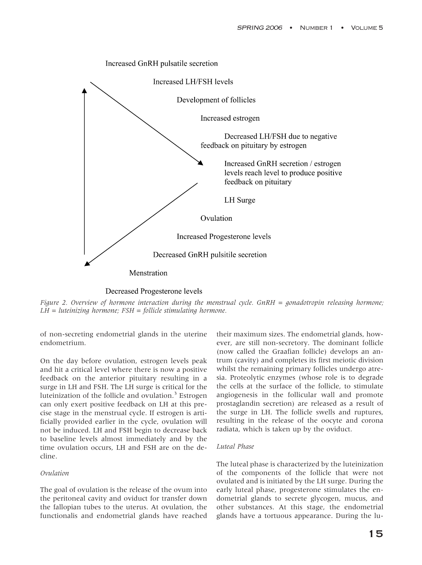

Decreased Progesterone levels

*Figure 2. Overview of hormone interaction during the menstrual cycle. GnRH = gonadotropin releasing hormone; LH = luteinizing hormone; FSH = follicle stimulating hormone.*

of non-secreting endometrial glands in the uterine endometrium.

On the day before ovulation, estrogen levels peak and hit a critical level where there is now a positive feedback on the anterior pituitary resulting in a surge in LH and FSH. The LH surge is critical for the luteinization of the follicle and ovulation. $3$  Estrogen can only exert positive feedback on LH at this precise stage in the menstrual cycle. If estrogen is artificially provided earlier in the cycle, ovulation will not be induced. LH and FSH begin to decrease back to baseline levels almost immediately and by the time ovulation occurs, LH and FSH are on the decline.

## *Ovulation*

The goal of ovulation is the release of the ovum into the peritoneal cavity and oviduct for transfer down the fallopian tubes to the uterus. At ovulation, the functionalis and endometrial glands have reached their maximum sizes. The endometrial glands, however, are still non-secretory. The dominant follicle (now called the Graafian follicle) develops an antrum (cavity) and completes its first meiotic division whilst the remaining primary follicles undergo atresia. Proteolytic enzymes (whose role is to degrade the cells at the surface of the follicle, to stimulate angiogenesis in the follicular wall and promote prostaglandin secretion) are released as a result of the surge in LH. The follicle swells and ruptures, resulting in the release of the oocyte and corona radiata, which is taken up by the oviduct.

## *Luteal Phase*

The luteal phase is characterized by the luteinization of the components of the follicle that were not ovulated and is initiated by the LH surge. During the early luteal phase, progesterone stimulates the endometrial glands to secrete glycogen, mucus, and other substances. At this stage, the endometrial glands have a tortuous appearance. During the lu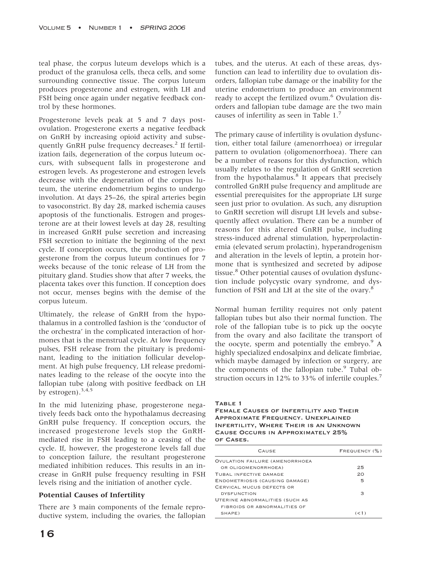teal phase, the corpus luteum develops which is a product of the granulosa cells, theca cells, and some surrounding connective tissue. The corpus luteum produces progesterone and estrogen, with LH and FSH being once again under negative feedback control by these hormones.

Progesterone levels peak at 5 and 7 days postovulation. Progesterone exerts a negative feedback on GnRH by increasing opioid activity and subsequently GnRH pulse frequency decreases.<sup>2</sup> If fertilization fails, degeneration of the corpus luteum occurs, with subsequent falls in progesterone and estrogen levels. As progesterone and estrogen levels decrease with the degeneration of the corpus luteum, the uterine endometrium begins to undergo involution. At days 25–26, the spiral arteries begin to vasoconstrict. By day 28, marked ischemia causes apoptosis of the functionalis. Estrogen and progesterone are at their lowest levels at day 28, resulting in increased GnRH pulse secretion and increasing FSH secretion to initiate the beginning of the next cycle. If conception occurs, the production of progesterone from the corpus luteum continues for 7 weeks because of the tonic release of LH from the pituitary gland. Studies show that after 7 weeks, the placenta takes over this function. If conception does not occur, menses begins with the demise of the corpus luteum.

Ultimately, the release of GnRH from the hypothalamus in a controlled fashion is the 'conductor of the orchestra' in the complicated interaction of hormones that is the menstrual cycle. At low frequency pulses, FSH release from the pituitary is predominant, leading to the initiation follicular development. At high pulse frequency, LH release predominates leading to the release of the oocyte into the fallopian tube (along with positive feedback on LH by estrogen). $3,4,5$ 

In the mid lutenizing phase, progesterone negatively feeds back onto the hypothalamus decreasing GnRH pulse frequency. If conception occurs, the increased progesterone levels stop the GnRHmediated rise in FSH leading to a ceasing of the cycle. If, however, the progesterone levels fall due to conception failure, the resultant progesterone mediated inhibition reduces. This results in an increase in GnRH pulse frequency resulting in FSH levels rising and the initiation of another cycle.

## **Potential Causes of Infertility**

There are 3 main components of the female reproductive system, including the ovaries, the fallopian tubes, and the uterus. At each of these areas, dysfunction can lead to infertility due to ovulation disorders, fallopian tube damage or the inability for the uterine endometrium to produce an environment ready to accept the fertilized ovum.<sup>6</sup> Ovulation disorders and fallopian tube damage are the two main causes of infertility as seen in Table  $1.^7$ 

The primary cause of infertility is ovulation dysfunction, either total failure (amenorrhoea) or irregular pattern to ovulation (oligomenorrhoea). There can be a number of reasons for this dysfunction, which usually relates to the regulation of GnRH secretion from the hypothalamus. $8$  It appears that precisely controlled GnRH pulse frequency and amplitude are essential prerequisites for the appropriate LH surge seen just prior to ovulation. As such, any disruption to GnRH secretion will disrupt LH levels and subsequently affect ovulation. There can be a number of reasons for this altered GnRH pulse, including stress-induced adrenal stimulation, hyperprolactinemia (elevated serum prolactin), hyperandrogenism and alteration in the levels of leptin, a protein hormone that is synthesized and secreted by adipose tissue.<sup>8</sup> Other potential causes of ovulation dysfunction include polycystic ovary syndrome, and dysfunction of FSH and LH at the site of the ovary.<sup>8</sup>

Normal human fertility requires not only patent fallopian tubes but also their normal function. The role of the fallopian tube is to pick up the oocyte from the ovary and also facilitate the transport of the oocyte, sperm and potentially the embryo. $\degree$  A highly specialized endosalpinx and delicate fimbriae, which maybe damaged by infection or surgery, are the components of the fallopian tube.<sup>9</sup> Tubal obstruction occurs in 12% to 33% of infertile couples.<sup>7</sup>

#### TABLE 1

Female Causes of Infertility and Their Approximate Frequency. Unexplained Infertility, Where Their is an Unknown Cause Occurs in Approximately 25% of Cases.

| CAUSE                          | FREQUENCY (%) |
|--------------------------------|---------------|
| OVULATION FAILURE (AMENORRHOEA |               |
| OR OLIGOMENORRHOEA)            | 25            |
| TUBAL INFECTIVE DAMAGE         | 20            |
| ENDOMETRIOSIS (CAUSING DAMAGE) | 5             |
| CERVICAL MUCUS DEFECTS OR      |               |
| <b>DYSFUNCTION</b>             | з             |
| UTERINE ABNORMALITIES (SUCH AS |               |
| FIBROIDS OR ABNORMALITIES OF   |               |
| SHAPE)                         | (< 1)         |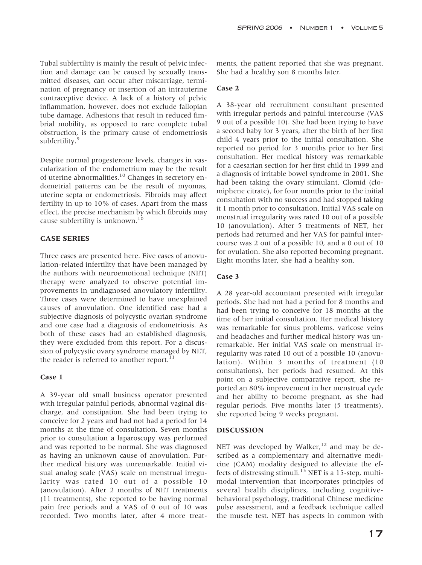Tubal subfertility is mainly the result of pelvic infection and damage can be caused by sexually transmitted diseases, can occur after miscarriage, termination of pregnancy or insertion of an intrauterine contraceptive device. A lack of a history of pelvic inflammation, however, does not exclude fallopian tube damage. Adhesions that result in reduced fimbrial mobility, as opposed to rare complete tubal obstruction, is the primary cause of endometriosis subfertility.<sup>9</sup>

Despite normal progesterone levels, changes in vascularization of the endometrium may be the result of uterine abnormalities.<sup>10</sup> Changes in secretory endometrial patterns can be the result of myomas, uterine septa or endometriosis. Fibroids may affect fertility in up to 10% of cases. Apart from the mass effect, the precise mechanism by which fibroids may cause subfertility is unknown.<sup>10</sup>

#### **CASE SERIES**

Three cases are presented here. Five cases of anovulation-related infertility that have been managed by the authors with neuroemotional technique (NET) therapy were analyzed to observe potential improvements in undiagnosed anovulatory infertility. Three cases were determined to have unexplained causes of anovulation. One identified case had a subjective diagnosis of polycystic ovarian syndrome and one case had a diagnosis of endometriosis. As both of these cases had an established diagnosis, they were excluded from this report. For a discussion of polycystic ovary syndrome managed by NET, the reader is referred to another report.<sup>11</sup>

#### **Case 1**

A 39-year old small business operator presented with irregular painful periods, abnormal vaginal discharge, and constipation. She had been trying to conceive for 2 years and had not had a period for 14 months at the time of consultation. Seven months prior to consultation a laparoscopy was performed and was reported to be normal. She was diagnosed as having an unknown cause of anovulation. Further medical history was unremarkable. Initial visual analog scale (VAS) scale on menstrual irregularity was rated 10 out of a possible 10 (anovulation). After 2 months of NET treatments (11 treatments), she reported to be having normal pain free periods and a VAS of 0 out of 10 was recorded. Two months later, after 4 more treatments, the patient reported that she was pregnant. She had a healthy son 8 months later.

#### **Case 2**

A 38-year old recruitment consultant presented with irregular periods and painful intercourse (VAS 9 out of a possible 10). She had been trying to have a second baby for 3 years, after the birth of her first child 4 years prior to the initial consultation. She reported no period for 3 months prior to her first consultation. Her medical history was remarkable for a caesarian section for her first child in 1999 and a diagnosis of irritable bowel syndrome in 2001. She had been taking the ovary stimulant, Clomid (clomiphene citrate), for four months prior to the initial consultation with no success and had stopped taking it 1 month prior to consultation. Initial VAS scale on menstrual irregularity was rated 10 out of a possible 10 (anovulation). After 5 treatments of NET, her periods had returned and her VAS for painful intercourse was 2 out of a possible 10, and a 0 out of 10 for ovulation. She also reported becoming pregnant. Eight months later, she had a healthy son.

## **Case 3**

A 28 year-old accountant presented with irregular periods. She had not had a period for 8 months and had been trying to conceive for 18 months at the time of her initial consultation. Her medical history was remarkable for sinus problems, varicose veins and headaches and further medical history was unremarkable. Her initial VAS scale on menstrual irregularity was rated 10 out of a possible 10 (anovulation). Within 3 months of treatment (10 consultations), her periods had resumed. At this point on a subjective comparative report, she reported an 80% improvement in her menstrual cycle and her ability to become pregnant, as she had regular periods. Five months later (5 treatments), she reported being 9 weeks pregnant.

#### **DISCUSSION**

NET was developed by Walker,<sup>12</sup> and may be described as a complementary and alternative medicine (CAM) modality designed to alleviate the effects of distressing stimuli.<sup>13</sup> NET is a 15-step, multimodal intervention that incorporates principles of several health disciplines, including cognitivebehavioral psychology, traditional Chinese medicine pulse assessment, and a feedback technique called the muscle test. NET has aspects in common with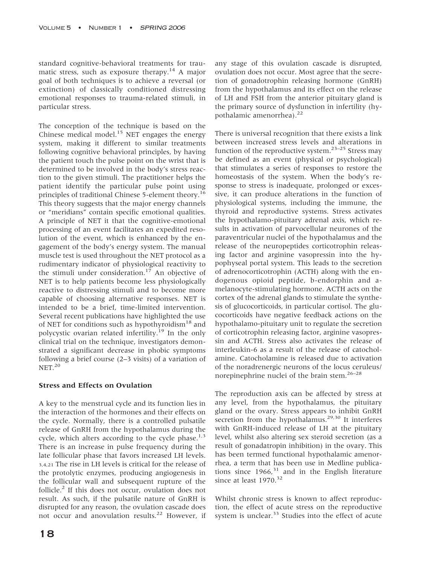standard cognitive-behavioral treatments for traumatic stress, such as exposure therapy.<sup>14</sup> A major goal of both techniques is to achieve a reversal (or extinction) of classically conditioned distressing emotional responses to trauma-related stimuli, in particular stress.

The conception of the technique is based on the Chinese medical model.<sup>15</sup> NET engages the energy system, making it different to similar treatments following cognitive behavioral principles, by having the patient touch the pulse point on the wrist that is determined to be involved in the body's stress reaction to the given stimuli. The practitioner helps the patient identify the particular pulse point using principles of traditional Chinese 5-element theory.<sup>16</sup> This theory suggests that the major energy channels or "meridians" contain specific emotional qualities. A principle of NET it that the cognitive-emotional processing of an event facilitates an expedited resolution of the event, which is enhanced by the engagement of the body's energy system. The manual muscle test is used throughout the NET protocol as a rudimentary indicator of physiological reactivity to the stimuli under consideration.<sup>17</sup> An objective of NET is to help patients become less physiologically reactive to distressing stimuli and to become more capable of choosing alternative responses. NET is intended to be a brief, time-limited intervention. Several recent publications have highlighted the use of NET for conditions such as hypothyroidism<sup>18</sup> and polycystic ovarian related infertility.19 In the only clinical trial on the technique, investigators demonstrated a significant decrease in phobic symptoms following a brief course (2–3 visits) of a variation of NET.<sup>20</sup>

## **Stress and Effects on Ovulation**

A key to the menstrual cycle and its function lies in the interaction of the hormones and their effects on the cycle. Normally, there is a controlled pulsatile release of GnRH from the hypothalamus during the cycle, which alters according to the cycle phase. $1,3$ There is an increase in pulse frequency during the late follicular phase that favors increased LH levels. 3,4,21 The rise in LH levels is critical for the release of the protolytic enzymes, producing angiogenesis in the follicular wall and subsequent rupture of the follicle.<sup>2</sup> If this does not occur, ovulation does not result. As such, if the pulsatile nature of GnRH is disrupted for any reason, the ovulation cascade does not occur and anovulation results.<sup>22</sup> However, if any stage of this ovulation cascade is disrupted, ovulation does not occur. Most agree that the secretion of gonadotrophin releasing hormone (GnRH) from the hypothalamus and its effect on the release of LH and FSH from the anterior pituitary gland is the primary source of dysfunction in infertility (hypothalamic amenorrhea). $^{22}$ 

There is universal recognition that there exists a link between increased stress levels and alterations in function of the reproductive system.<sup>23–25</sup> Stress may be defined as an event (physical or psychological) that stimulates a series of responses to restore the homeostasis of the system. When the body's response to stress is inadequate, prolonged or excessive, it can produce alterations in the function of physiological systems, including the immune, the thyroid and reproductive systems. Stress activates the hypothalamo-pituitary adrenal axis, which results in activation of parvocellular neurones of the paraventricular nuclei of the hypothalamus and the release of the neuropeptides corticotrophin releasing factor and arginine vasopressin into the hypophyseal portal system. This leads to the secretion of adrenocorticotrophin (ACTH) along with the endogenous opioid peptide, b-endorphin and amelanocyte-stimulating hormone. ACTH acts on the cortex of the adrenal glands to stimulate the synthesis of glucocorticoids, in particular cortisol. The glucocorticoids have negative feedback actions on the hypothalamo-pituitary unit to regulate the secretion of corticotrophin releasing factor, arginine vasopressin and ACTH. Stress also activates the release of interleukin-6 as a result of the release of catocholamine. Catocholamine is released due to activation of the noradrenergic neurons of the locus ceruleus/ norepinephrine nuclei of the brain stem. $26-28$ 

The reproduction axis can be affected by stress at any level, from the hypothalamus, the pituitary gland or the ovary. Stress appears to inhibit GnRH secretion from the hypothalamus.<sup>29,30</sup> It interferes with GnRH-induced release of LH at the pituitary level, whilst also altering sex steroid secretion (as a result of gonadatropin inhibition) in the ovary. This has been termed functional hypothalamic amenorrhea, a term that has been use in Medline publications since  $1966$ ,<sup>31</sup> and in the English literature since at least  $1970.<sup>32</sup>$ 

Whilst chronic stress is known to affect reproduction, the effect of acute stress on the reproductive system is unclear.<sup>33</sup> Studies into the effect of acute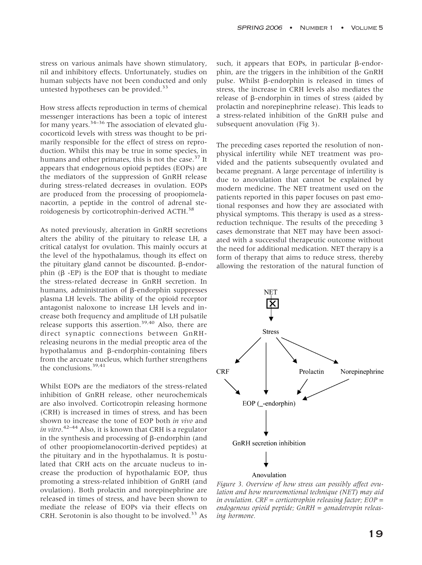stress on various animals have shown stimulatory, nil and inhibitory effects. Unfortunately, studies on human subjects have not been conducted and only untested hypotheses can be provided.<sup>33</sup>

How stress affects reproduction in terms of chemical messenger interactions has been a topic of interest for many years.34–36 The association of elevated glucocorticoid levels with stress was thought to be primarily responsible for the effect of stress on reproduction. Whilst this may be true in some species, in humans and other primates, this is not the case.<sup>37</sup> It appears that endogenous opioid peptides (EOPs) are the mediators of the suppression of GnRH release during stress-related decreases in ovulation. EOPs are produced from the processing of proopiomelanacortin, a peptide in the control of adrenal steroidogenesis by corticotrophin-derived ACTH.<sup>38</sup>

As noted previously, alteration in GnRH secretions alters the ability of the pituitary to release LH, a critical catalyst for ovulation. This mainly occurs at the level of the hypothalamus, though its effect on the pituitary gland cannot be discounted.  $\beta$ -endorphin  $(\beta$  -EP) is the EOP that is thought to mediate the stress-related decrease in GnRH secretion. In humans, administration of  $\beta$ -endorphin suppresses plasma LH levels. The ability of the opioid receptor antagonist naloxone to increase LH levels and increase both frequency and amplitude of LH pulsatile release supports this assertion.39,40 Also, there are direct synaptic connections between GnRHreleasing neurons in the medial preoptic area of the hypothalamus and  $\beta$ -endorphin-containing fibers from the arcuate nucleus, which further strengthens the conclusions.<sup>39,41</sup>

Whilst EOPs are the mediators of the stress-related inhibition of GnRH release, other neurochemicals are also involved. Corticotropin releasing hormone (CRH) is increased in times of stress, and has been shown to increase the tone of EOP both *in vivo* and *in vitro*. 42–44 Also, it is known that CRH is a regulator in the synthesis and processing of  $\beta$ -endorphin (and of other proopiomelanocortin-derived peptides) at the pituitary and in the hypothalamus. It is postulated that CRH acts on the arcuate nucleus to increase the production of hypothalamic EOP, thus promoting a stress-related inhibition of GnRH (and ovulation). Both prolactin and norepinephrine are released in times of stress, and have been shown to mediate the release of EOPs via their effects on CRH. Serotonin is also thought to be involved.<sup>33</sup> As

such, it appears that EOPs, in particular  $\beta$ -endorphin, are the triggers in the inhibition of the GnRH pulse. Whilst  $\beta$ -endorphin is released in times of stress, the increase in CRH levels also mediates the  $release of β-endorphism in times of stress (aided by$ prolactin and norepinephrine release). This leads to a stress-related inhibition of the GnRH pulse and subsequent anovulation (Fig 3).

The preceding cases reported the resolution of nonphysical infertility while NET treatment was provided and the patients subsequently ovulated and became pregnant. A large percentage of infertility is due to anovulation that cannot be explained by modern medicine. The NET treatment used on the patients reported in this paper focuses on past emotional responses and how they are associated with physical symptoms. This therapy is used as a stressreduction technique. The results of the preceding 3 cases demonstrate that NET may have been associated with a successful therapeutic outcome without the need for additional medication. NET therapy is a form of therapy that aims to reduce stress, thereby allowing the restoration of the natural function of



*Figure 3. Overview of how stress can possibly affect ovulation and how neuroemotional technique (NET) may aid in ovulation. CRF = corticotrophin releasing factor; EOP = endogenous opioid peptide; GnRH = gonadotropin releasing hormone.*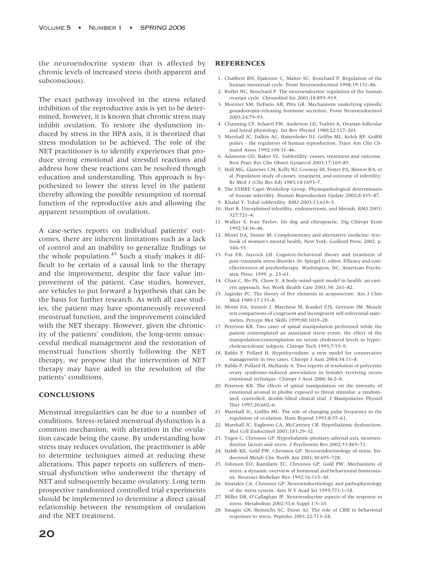the neuroendocrine system that is affected by chronic levels of increased stress (both apparent and subconscious).

The exact pathway involved in the stress related inhibition of the reproductive axis is yet to be determined, however, it is known that chronic stress may inhibit ovulation. To restore the dysfunction induced by stress in the HPA axis, it is theorized that stress modulation to be achieved. The role of the NET practitioner is to identify experiences that produce strong emotional and stressful reactions and address how these reactions can be resolved though education and understanding. This approach is hypothesized to lower the stress level in the patient thereby allowing the possible resumption of normal function of the reproductive axis and allowing the apparent resumption of ovulation.

A case-series reports on individual patients' outcomes, there are inherent limitations such as a lack of control and an inability to generalize findings to the whole population. $45 \text{ such a study makes it dif-}$ ficult to be certain of a causal link to the therapy and the improvement, despite the face value improvement of the patient. Case studies, however, are vehicles to put forward a hypothesis that can be the basis for further research. As with all case studies, the patient may have spontaneously recovered menstrual function, and the improvement coincided with the NET therapy. However, given the chronicity of the patients' condition, the long-term unsuccessful medical management and the restoration of menstrual function shortly following the NET therapy, we propose that the intervention of NET therapy may have aided in the resolution of the patients' conditions.

#### **CONCLUSIONS**

Menstrual irregularities can be due to a number of conditions. Stress-related menstrual dysfunction is a common mechanism, with alteration in the ovulation cascade being the cause. By understanding how stress may reduces ovulation, the practitioner is able to determine techniques aimed at reducing these alterations. This paper reports on sufferers of menstrual dysfunction who underwent the therapy of NET and subsequently became ovulatory. Long term prospective randomized controlled trial experiments should be implemented to determine a direct causal relationship between the resumption of ovulation and the NET treatment.

#### **REFERENCES**

- 1. Chabbert BN, Djakoure C, Maitre SC, Bouchard P. Regulation of the human menstrual cycle. Front Neuroendocrinol 1998;19:151–86.
- 2. Buffet NC, Bouchard P. The neuroendocrine regulation of the human ovarian cycle. Chronobiol Int 2001;18:893–919.
- 3. Moenter SM, DeFazio AR, Pitts GR. Mechanisms underlying episodic gonadotropin-releasing hormone secretion. Front Neuroendocrinol 2003;24:79–93.
- 4. Channing CP, Schaerf FW, Anderson LD, Tsafriri A. Ovarian follicular and luteal physiology. Int Rev Physiol 1980;22:117–201.
- 5. Marshall JC, Dalkin AC, Haisenleder DJ, Griffin ML, Kelch RP. GnRH pulses - the regulators of human reproduction. Trans Am Clin Climatol Assoc 1992;104:31–46.
- 6. Adamson GD, Baker VL. Subfertility: causes, treatment and outcome. Best Pract Res Clin Obstet Gynaecol 2003;17:169–85.
- 7. Hull MG, Glazener CM, Kelly NJ, Conway DI, Foster PA, Hinton RA, et al. Population study of causes, treatment, and outcome of infertility. Br Med J (Clin Res Ed) 1985;14:1693–7.
- 8. The ESHRE Capri Workshop Group. Physiopathological determinants of human infertility. Human Reproduction Update 2002;8:435–47.
- 9. Khalaf Y. Tubal subfertility. BMJ 2003;13;610–3.
- 10. Hart R. Unexplained infertility, endometriosis, and fibroids. BMJ 2003; 327:721–4.
- 11. Walker S. Ivan Pavlov, his dog and chiropractic. Dig Chiropr Econ 1992;34:36–46.
- 12. Monti DA, Stoner M. Complementary and alternative medicine: textbook of women's mental health. New York: Guilford Press; 2002. p. 344–55.
- 13. Foa EB, Jaycock LH. Cognitve-behavioral theory and treatment of post-traumatic stress disorder. In: Spiegel D, editor. Efficacy and costeffectiveness of psychotherapy. Washington, DC: American Psychiatric Press; 1999. p. 23–61.
- 14. Chan C, Ho PS, Chow E. A body-mind-spirit model in health: an eastern approach. Soc Work Health Care 2001;34: 261–82.
- 15. Jagirdar PC. The theory of five elements in acupuncture. Am J Chin Med 1989;17:135-8.
- 16. Monti DA, Sinnott J, Marchese M, Kunkel EJS, Greeson JM. Muscle test comparisons of congruent and incongruent self-referential statements. Percept Mot Skills 1999;88:1019–28.
- 17. Peterson KB. Two cases of spinal manipulation performed while the patient contemplated an associated stress event: the effect of the manipulation/contemplation on serum cholesterol levels in hypercholesterolemic subjects. Chiropr Tech 1995;7:55–9.
- 18. Bablis P, Pollard H. Hypothyroidism: a new model for conservative management in two cases. Chiropr J Aust 2004;34:11–8.
- 19. Bablis P, Pollard H, McHardy A. Two reports of resolution of polycystic ovary syndrome-induced anovulation in females receiving neuro emotional technique. Chiropr J Aust 2006;36:2–8.
- 20. Peterson KB. The effects of spinal manipulation on the intensity of emotional arousal in phobic exposed to threat stimulus: a randomized, controlled, double-blind clinical trial. J Manipulative Physiol Ther 1997;20:602–6.
- 21. Marshall JC, Griffin ML. The role of changing pulse frequency in the regulation of ovulation. Hum Reprod 1993;8:57–61.
- 22. Marshall JC, Eagleson CA, McCartney CR. Hypothalamic dysfunction. Mol Cell Endocrinol 2001;183:29–32.
- 23. Tsigos C, Chrousos GP. Hypothalamic-pituitary-adrenal axis, neuroendocrine factors and stress. J Psychosom Res 2002;53:865–71.
- 24. Habib KE, Gold PW, Chrousos GP. Neuroendocrinology of stress. Endocrinol Metab Clin North Am 2001;30:695–728.
- 25. Johnson EO, Kamilaris TC, Chrousos GP, Gold PW. Mechanisms of stress: a dynamic overview of hormonal and behavioural homeostasis. Neurosci Biobehav Rev 1992;16:115–30.
- 26. Stratakis CA, Chrousos GP. Neuroendocrinology and pathophysiology of the stress system. Ann N Y Acad Sci 1995;771:1–18.
- 27. Miller DB, O'Callaghan JP. Neuroendocrine aspects of the response to stress. Metabolism 2002;51;6 Suppl 1:5–10.
- 28. Smagin GN, Heinrichs SC, Dunn AJ. The role of CRH in behavioral responses to stress. Peptides 2001;22:713–24.